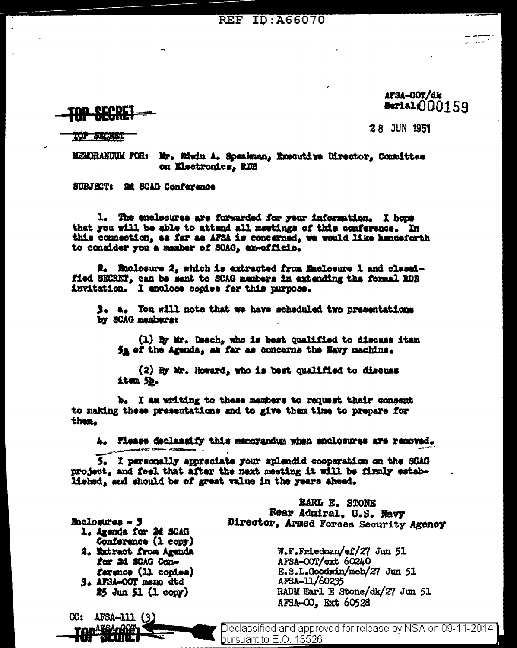#### **REF ID: A66070**

### AFSA-OOT/dk  $3.100159$

<u>ecopi</u>

**28 JUN 1951** 

**TOP SERVICE** 

MEMORANDUM FOR: Mr. Edwin A. Speakman, Executive Director. Committee on Electronics. RDB

**SURJECT: 2d SCAG Conference** 

1. The enclosures are forwarded for your information. I hope that you will be able to attend all meetings of this conference. In this connection, as far as AFSA is concerned, we would like henceforth to consider you a member of SCAG, ax-officio.

2. Mullosure 2, which is extracted from Enclosure 1 and classified SECRET, can be sent to SCAG members in extending the formal RDB invitation. I anclose copies for this purpose.

3. a. You will note that we have scheduled two presentations by SCAG mambars:

(1) By Mr. Desch, who is best qualified to discuss item 5g of the Agenda, as far as concerns the Navy machine.

 $(2)$  By Mr. Howard, who is best qualified to discuss item 5b.

b. I am writing to these members to request their consent to making these presentations and to give them time to prepare for then.

4. Please declassify this menorandum when enclosures are removed.

5. I personally appreciate your splendid cooperation on the SCAG project, and feel that after the next meeting it will be firmly established, and should be of great value in the years ahead.

> EARL E. STONE Rear Admiral. U.S. Navy Director, Armed Forces Security Agency

> > W.F.Friedman/ef/27 Jun 51 AFSA-OOT/ext 60240 E.S.L.Goodwin/meb/27 Jun 51 AFSA-11/60235 RADM Earl E Stone/dk/27 Jun 51 AFSA-00, Ext 60528

**Enclosures - 3** 

 $CC:$  AFSA-111  $(3)$ 

ran <sup>Alisa</sup>rkië

- 1. Agenda for 2d SCAG Conference (1 copy)
- 2. Extract from Agenda for 2d SCAG Conference (11 conies)
- 3. AFSA-OOT memo atd  $25 \text{ Jun } 51$  (1 copy)

Declassified and approved for release by NSA on 09-11-2014 <u>bursuant to E.O. 13526.</u>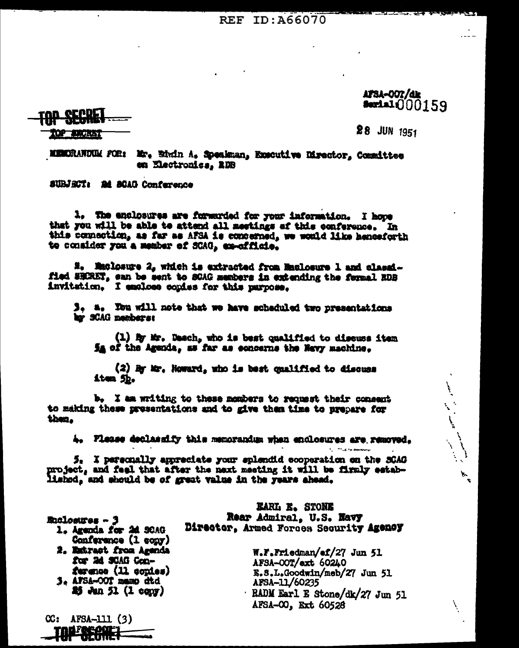REF ID: A66070

AFSA-OOT/dk **Sectal:**000159

المستعمل المستعمل المستعمل المستعمل المستعمل المستعمل المستعمل المستعمل المستعمل المستعمل المستعمل المستعمل ال<br>المستعمل المستعمل المستعمل المستعمل المستعمل المستعمل المستعمل المستعمل المستعمل المستعمل المستعمل المستعمل ال

化细胞 法内在社

 $28$  JUN  $1951$ 

MEMORANDUM FOR: Mr. Birdn A. Speakman, Executive Director, Committee en Electronics, RDB

SUBJECT: 24 SCAG Conference

1. The enclosures are forwarded for your information. I hope that you will be able to attend all meetings of this conference. In this comection, as far as AFSA is concerned, we would like henceforth te consider you a member of SCAG, ex-officie.

**2. Maclosure 2, which is extracted from Maclosure 1 and classi**fied SHIRET, can be sent to SCAG members in extending the formal RDB invitation. I emclose copies for this parpose.

3. a. Tou will note that we have scheduled two presentations har SCAG members:

(1) By Mr. Dasch, who is best qualified to discuss item Sa of the Agenda, as far as concerns the New machine.

(2) By Mr. Howard, who is best qualified to discuss item 5h.

b. I am writing to these members to request their consent to making these presentations and to give them time to prepare for then.

4. Please declassify this memorandum when enclosures are removed.

5. I personally appreciate your splendid cooperation on the SCAG project, and feel that after the next meeting it will be firmly established, and should be of great value in the years ahead.

Euclosures - 3

 $CC: AFSA-111(3)$ 

1. Agenda for 2d SCAG Conference (1 copy)

2. Estract from Agenda for 2d SCAG Conference (11 copies) 3. AFSA-OOT mann dtd

 $25$  Jun 51 (1 copy)

**EARL E. STONE** Rear Admiral, U.S. Navy Director, Armed Forces Security Agency

> W.F.Friedman/ef/27 Jun 51 AFSA-OOT/ext 60240 E.S.L.Goodwin/meb/27 Jun 51 AFSA-11/60235 · RADM Earl E Stone/dk/27 Jun 51 AFSA-00, Ext 60528

**Control of the Association**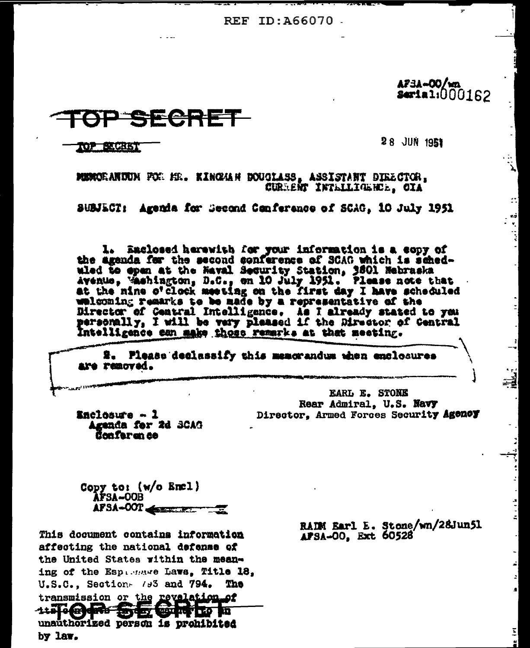REF ID: A66070

A73A-00/wa **Serial:000162** 

Σ,

ET.

## 조승감품

**28 JUN 1951** 

TOP BLOTS!

MUNCEANTUN FCE HE. KINGAH DOUGLASS, ASSISTANT DIRECTOR, CURRENT INTELLIGENCE. OIA

SUBJECT: Agenda for Second Conference of SCAG, 10 July 1951

1. Eaclosed herewith for your information is a copy of the agenda for the second conference of SCAG which is scheduled to epen at the Haval Security Station, 3801 Hebraska Avenue, Washington, D.C., en 10 July 1951. Please note that at the nine o'clock meeting on the first day I have scheduled welcoming remarks to be made by a representative of the Director of Central Intelligence. As I already stated to you personally, I will be very pleased if the Director of Central Intelligence can make those remarks at that meeting.

2. Please declassify this memorandum when emplosures are removed.

> EARL E. STONE Rear Admiral, U.S. Navy Director, Armed Forces Security Agency

Enclosure - 1 Agunda for 2d 3CAG Confer an ce

Copy to: (w/o Encl) **AFSA-OOB** APSA-OOT

This document contains information affecting the national defense of the United States within the meaning of the Espassare Laws, Title 18,  $V.S.C.$ , Section-  $/3<sup>3</sup>$  and  $794.$ The transmission or the revelation of 1151847 SEGITE m unauthorized person is prohibited by law.

RAIM Earl E. Stone/wn/28Jun51 APSA-00, Ext. 60528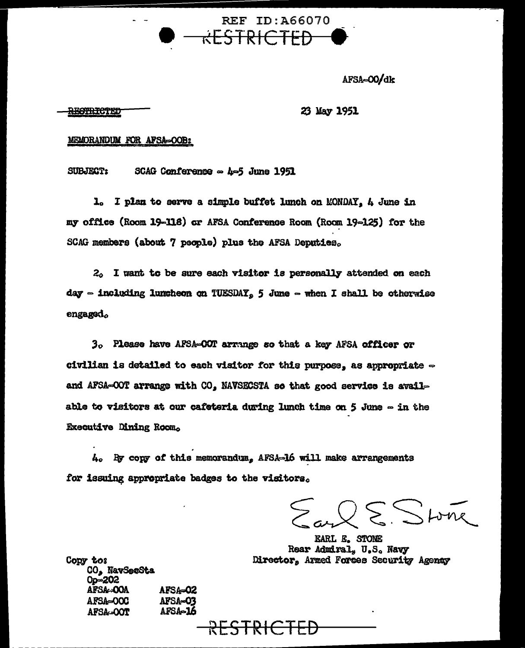REF ID: A66070 RESTRICTED

AFSA=00/dk

#### <del>RESTRICTED</del>

#### 23 May 1951

#### MEMORANDUM FOR AFSA=OOB:

**SUBJECT:** SCAG Conference  $\sim$  4-5 June 1951

1. I plan to serve a simple buffet lunch on MONDAY, 4 June in my office (Room 19-118) or AFSA Conference Room (Room 19-125) for the SCAG members (about 7 people) plus the AFSA Deputies.

 $2<sub>0</sub>$  I want to be sure each visitor is personally attended on each day  $\sim$  including lumcheon on TUESDAY, 5 June  $\sim$  when I shall be otherwise engaged.

3. Please have AFSA-OOT arrange so that a key AFSA officer or civilian is detailed to each visitor for this purpose, as appropriate  $\sim$ and AFSA=OOT arrange with CO, NAVSECSTA so that good service is available to visitors at our cafeteria during lunch time on 5 June  $\infty$  in the **Executive Dining Room.** 

4. By copy of this memorandum, AFSA-16 will make arrangements for issuing appropriate badges to the visitors.

 $Q \n\mathcal{S}$  Store

EARL E. STONE Rear Admiral, U.S. Navy Director, Armed Forces Security Agency

Copy tos CO, NavSecSta  $0p = 202$ AFSA-OOA AFSA-02 AFSA=00C **AFSA-03** AFSA-16 AFSA-OOT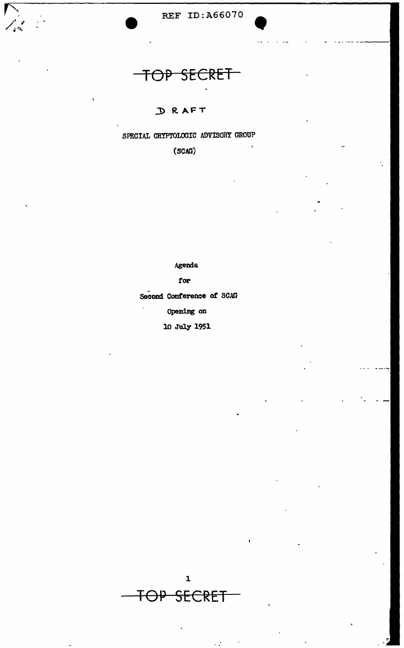

# OP SECRET

 $\frac{1}{2}$ 

### D RAFT

SPECIAL CRYPTOLOGIC ADVISORY GROUP

 $(SCAG)$ 

Agenda

for

Second Conference of SCAG

Opening on

10 July 1951

 $\mathbf{I}$ TOP SECRET

 $\mathbb{Z}$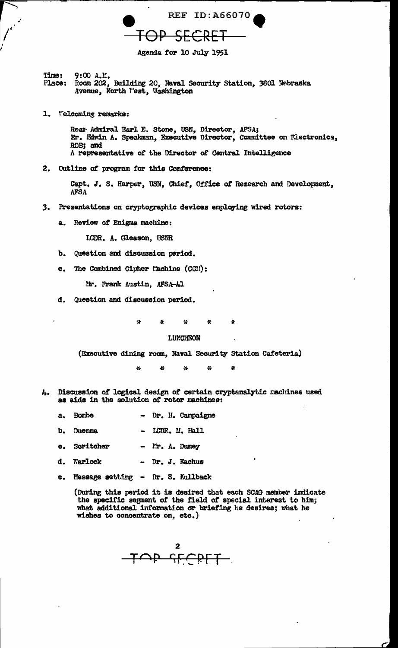

Agenda for 10 July 1951

 $9:00 A.L.$ Time: Room 202, Building 20, Naval Security Station, 3801 Nebraska Place: Avenue, North West, Washington

1. Velcoming remarks:

Rear Admiral Earl E. Stone, USN, Director, AFSA; Mr. Edwin A. Speakman, Executive Director, Committee on Flectronics, RDB: and A representative of the Director of Central Intelligence

2. Outline of program for this Conference:

Capt. J. S. Harper, USN, Chief, Office of Research and Development, **AFSA** 

- Presentations on cryptographic devices employing wired rotors: 3.
	- $\mathbf{a}$ . Review of Enigma machine:

LCDR. A. Gleason, USNR

- Question and discussion period. b.
- The Combined Cipher Machine (CCM):  $c<sub>1</sub>$

Mr. Frank Austin, AFSA-41

4

Question and discussion period. đ.

> Ã.  $\mathbf{x}$ 소

#### LUNCHEON

(Executive dining room, Naval Security Station Cafeteria)

 $\mathbf{r}$ × ×.  $\mathbf{a}_i$ è.

- Discussion of logical design of certain cryptanalytic machines used 4. as aids in the solution of rotor machines:
	- Bombe - Dr. H. Campaigne  $a<sub>0</sub>$
	- Duenna - LCDR. M. Hall ъ.
	- Scritcher - Ir. A. Dumey c.
	- d. Warlock - Dr. J. Eachus
	- e. Message setting Dr. S. Kullback

(During this period it is desired that each SCAG member indicate the specific segment of the field of special interest to him; what additional information or briefing he desires; what he wishes to concentrate on, etc.)